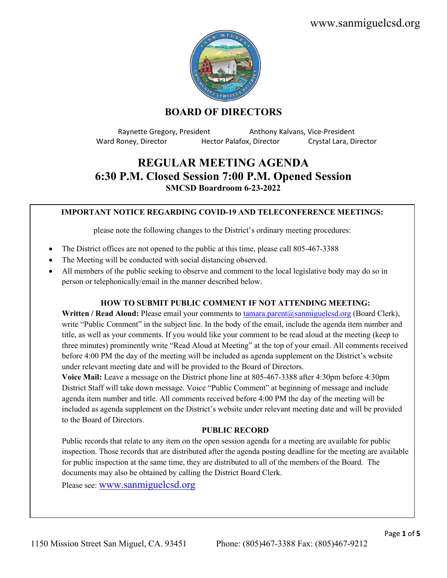www.sanmiguelcsd.org



# **BOARD OF DIRECTORS**

Raynette Gregory, President Anthony Kalvans, Vice-President Ward Roney, Director Hector Palafox, Director Crystal Lara, Director

# **REGULAR MEETING AGENDA 6:30 P.M. Closed Session 7:00 P.M. Opened Session SMCSD Boardroom 6-23-2022**

### **IMPORTANT NOTICE REGARDING COVID-19 AND TELECONFERENCE MEETINGS:**

please note the following changes to the District's ordinary meeting procedures:

- The District offices are not opened to the public at this time, please call 805-467-3388
- The Meeting will be conducted with social distancing observed.
- All members of the public seeking to observe and comment to the local legislative body may do so in person or telephonically/email in the manner described below.

# **HOW TO SUBMIT PUBLIC COMMENT IF NOT ATTENDING MEETING:**

**Written / Read Aloud:** Please email your comments to [tamara.parent@sanmiguelcsd.org](mailto:tamara.parent@sanmiguelcsd.org) (Board Clerk), write "Public Comment" in the subject line. In the body of the email, include the agenda item number and title, as well as your comments. If you would like your comment to be read aloud at the meeting (keep to three minutes) prominently write "Read Aloud at Meeting" at the top of your email. All comments received before 4:00 PM the day of the meeting will be included as agenda supplement on the District's website under relevant meeting date and will be provided to the Board of Directors.

**Voice Mail:** Leave a message on the District phone line at 805-467-3388 after 4:30pm before 4:30pm District Staff will take down message. Voice "Public Comment" at beginning of message and include agenda item number and title. All comments received before 4:00 PM the day of the meeting will be included as agenda supplement on the District's website under relevant meeting date and will be provided to the Board of Directors.

#### **PUBLIC RECORD**

Public records that relate to any item on the open session agenda for a meeting are available for public inspection. Those records that are distributed after the agenda posting deadline for the meeting are available for public inspection at the same time, they are distributed to all of the members of the Board. The documents may also be obtained by calling the District Board Clerk.

Please see: [www.sanmiguelcsd.org](http://www.sanmiguelcsd.org/)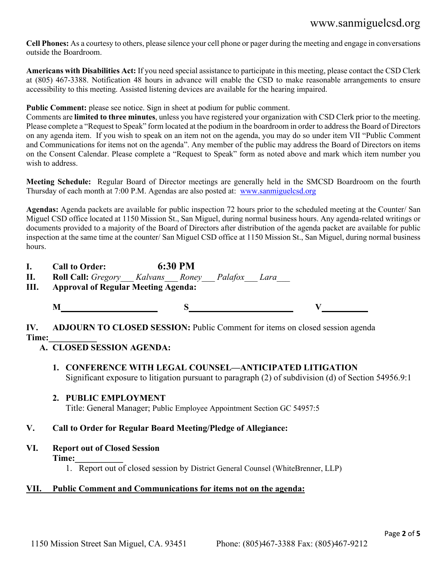# www.sanmiguelcsd.org

**Cell Phones:** As a courtesy to others, please silence your cell phone or pager during the meeting and engage in conversations outside the Boardroom.

**Americans with Disabilities Act:** If you need special assistance to participate in this meeting, please contact the CSD Clerk at (805) 467-3388. Notification 48 hours in advance will enable the CSD to make reasonable arrangements to ensure accessibility to this meeting. Assisted listening devices are available for the hearing impaired.

**Public Comment:** please see notice. Sign in sheet at podium for public comment.

Comments are **limited to three minutes**, unless you have registered your organization with CSD Clerk prior to the meeting. Please complete a "Request to Speak" form located at the podium in the boardroom in order to address the Board of Directors on any agenda item. If you wish to speak on an item not on the agenda, you may do so under item VII "Public Comment and Communications for items not on the agenda". Any member of the public may address the Board of Directors on items on the Consent Calendar. Please complete a "Request to Speak" form as noted above and mark which item number you wish to address.

**Meeting Schedule:** Regular Board of Director meetings are generally held in the SMCSD Boardroom on the fourth Thursday of each month at 7:00 P.M. Agendas are also posted at: [www.sanmiguelcsd.org](http://www.sanmiguelcsd.org/)

**Agendas:** Agenda packets are available for public inspection 72 hours prior to the scheduled meeting at the Counter/ San Miguel CSD office located at 1150 Mission St., San Miguel, during normal business hours. Any agenda-related writings or documents provided to a majority of the Board of Directors after distribution of the agenda packet are available for public inspection at the same time at the counter/ San Miguel CSD office at 1150 Mission St., San Miguel, during normal business hours.

**I. Call to Order: 6:30 PM**

**II. Roll Call:** *Gregory\_\_\_ Kalvans\_\_\_ Roney\_\_\_ Palafox\_\_\_ Lara\_\_\_*

- **III. Approval of Regular Meeting Agenda:**
	-

**M S V**

**IV. ADJOURN TO CLOSED SESSION:** Public Comment for items on closed session agenda **Time:\_\_\_\_\_\_\_\_\_\_\_**

- **A. CLOSED SESSION AGENDA:** 
	- **1. CONFERENCE WITH LEGAL COUNSEL—ANTICIPATED LITIGATION** Significant exposure to litigation pursuant to paragraph (2) of subdivision (d) of Section 54956.9:1
	- **2. PUBLIC EMPLOYMENT**

Title: General Manager; Public Employee Appointment Section GC 54957:5

# **V. Call to Order for Regular Board Meeting/Pledge of Allegiance:**

**VI. Report out of Closed Session**

**Time:\_\_\_\_\_\_\_\_\_\_\_**

1. Report out of closed session by District General Counsel (WhiteBrenner, LLP)

# **VII. Public Comment and Communications for items not on the agenda:**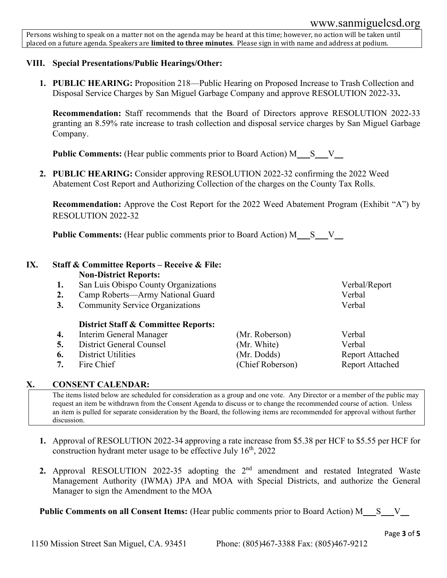Persons wishing to speak on a matter not on the agenda may be heard at this time; however, no action will be taken until placed on a future agenda. Speakers are **limited to three minutes**. Please sign in with name and address at podium.

# **VIII. Special Presentations/Public Hearings/Other:**

**1. PUBLIC HEARING:** Proposition 218—Public Hearing on Proposed Increase to Trash Collection and Disposal Service Charges by San Miguel Garbage Company and approve RESOLUTION 2022-33**.**

**Recommendation:** Staff recommends that the Board of Directors approve RESOLUTION 2022-33 granting an 8.59% rate increase to trash collection and disposal service charges by San Miguel Garbage Company.

**Public Comments:** (Hear public comments prior to Board Action) M\_\_\_S\_\_V\_

**2. PUBLIC HEARING:** Consider approving RESOLUTION 2022-32 confirming the 2022 Weed Abatement Cost Report and Authorizing Collection of the charges on the County Tax Rolls.

**Recommendation:** Approve the Cost Report for the 2022 Weed Abatement Program (Exhibit "A") by RESOLUTION 2022-32

**Public Comments:** (Hear public comments prior to Board Action) M\_\_\_S\_\_V\_

### **IX. Staff & Committee Reports – Receive & File: Non-District Reports:**

- **1.** San Luis Obispo County Organizations Verbal/Report
- **2.** Camp Roberts—Army National Guard Verbal
- **3.** Community Service Organizations Verbal

# **District Staff & Committee Reports:**

- **4.** Interim General Manager (Mr. Roberson) Verbal
- **5.** District General Counsel (Mr. White) Verbal
- **6.** District Utilities (Mr. Dodds) Report Attached
- 

# **X. CONSENT CALENDAR:**

The items listed below are scheduled for consideration as a group and one vote. Any Director or a member of the public may request an item be withdrawn from the Consent Agenda to discuss or to change the recommended course of action. Unless an item is pulled for separate consideration by the Board, the following items are recommended for approval without further discussion.

- **1.** Approval of RESOLUTION 2022-34 approving a rate increase from \$5.38 per HCF to \$5.55 per HCF for construction hydrant meter usage to be effective July  $16<sup>th</sup>$ , 2022
- **2.** Approval RESOLUTION 2022-35 adopting the 2<sup>nd</sup> amendment and restated Integrated Waste Management Authority (IWMA) JPA and MOA with Special Districts, and authorize the General Manager to sign the Amendment to the MOA

**Public Comments on all Consent Items:** (Hear public comments prior to Board Action) M\_\_\_S\_\_\_V\_\_

**7.** Fire Chief (Chief Roberson) Report Attached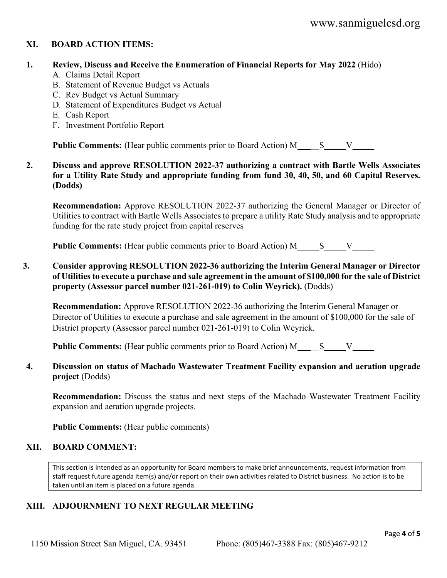# **XI. BOARD ACTION ITEMS:**

#### **1. Review, Discuss and Receive the Enumeration of Financial Reports for May 2022** (Hido)

- A. Claims Detail Report
- B. Statement of Revenue Budget vs Actuals
- C. Rev Budget vs Actual Summary
- D. Statement of Expenditures Budget vs Actual
- E. Cash Report
- F. Investment Portfolio Report

**Public Comments:** (Hear public comments prior to Board Action) M\_\_\_\_\_\_ S\_\_\_\_\_V\_\_\_\_\_

### **2. Discuss and approve RESOLUTION 2022-37 authorizing a contract with Bartle Wells Associates for a Utility Rate Study and appropriate funding from fund 30, 40, 50, and 60 Capital Reserves. (Dodds)**

**Recommendation:** Approve RESOLUTION 2022-37 authorizing the General Manager or Director of Utilities to contract with Bartle Wells Associates to prepare a utility Rate Study analysis and to appropriate funding for the rate study project from capital reserves

**Public Comments:** (Hear public comments prior to Board Action) M\_\_\_\_\_\_ S\_\_\_\_\_V\_\_\_\_

### **3. Consider approving RESOLUTION 2022-36 authorizing the Interim General Manager or Director of Utilities to execute a purchase and sale agreement in the amount of \$100,000 for the sale of District property (Assessor parcel number 021-261-019) to Colin Weyrick).** (Dodds)

**Recommendation:** Approve RESOLUTION 2022-36 authorizing the Interim General Manager or Director of Utilities to execute a purchase and sale agreement in the amount of \$100,000 for the sale of District property (Assessor parcel number 021-261-019) to Colin Weyrick.

**Public Comments:** (Hear public comments prior to Board Action) M\_\_\_\_\_S\_\_\_V\_\_\_V\_\_\_

### **4. Discussion on status of Machado Wastewater Treatment Facility expansion and aeration upgrade project** (Dodds)

**Recommendation:** Discuss the status and next steps of the Machado Wastewater Treatment Facility expansion and aeration upgrade projects.

**Public Comments:** (Hear public comments)

#### **XII. BOARD COMMENT:**

This section is intended as an opportunity for Board members to make brief announcements, request information from staff request future agenda item(s) and/or report on their own activities related to District business. No action is to be taken until an item is placed on a future agenda.

# **XIII. ADJOURNMENT TO NEXT REGULAR MEETING**

1150 Mission Street San Miguel, CA. 93451 Phone: (805)467-3388 Fax: (805)467-9212